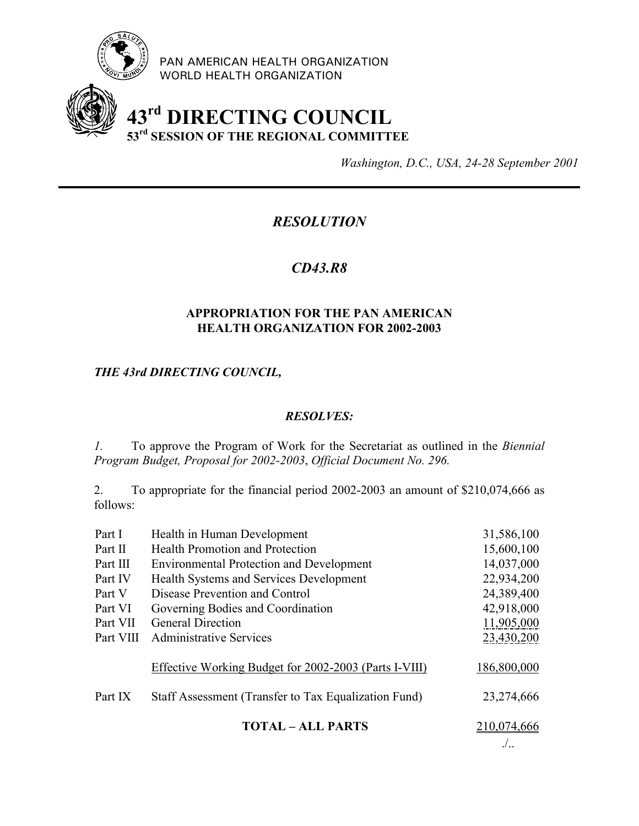

PAN AMERICAN HEALTH ORGANIZATION WORLD HEALTH ORGANIZATION

# **43rd DIRECTING COUNCIL 53rd SESSION OF THE REGIONAL COMMITTEE**

*Washington, D.C., USA, 24-28 September 2001*

## *RESOLUTION*

## *CD43.R8*

#### **APPROPRIATION FOR THE PAN AMERICAN HEALTH ORGANIZATION FOR 2002-2003**

#### *THE 43rd DIRECTING COUNCIL,*

#### *RESOLVES:*

*1.* To approve the Program of Work for the Secretariat as outlined in the *Biennial Program Budget, Proposal for 2002-2003*, *Official Document No. 296.*

2. To appropriate for the financial period 2002-2003 an amount of \$210,074,666 as follows:

| Part I    | Health in Human Development                           | 31,586,100  |
|-----------|-------------------------------------------------------|-------------|
| Part II   | <b>Health Promotion and Protection</b>                | 15,600,100  |
| Part III  | <b>Environmental Protection and Development</b>       | 14,037,000  |
| Part IV   | Health Systems and Services Development               | 22,934,200  |
| Part V    | Disease Prevention and Control                        | 24,389,400  |
| Part VI   | Governing Bodies and Coordination                     | 42,918,000  |
| Part VII  | <b>General Direction</b>                              | 11,905,000  |
| Part VIII | <b>Administrative Services</b>                        | 23,430,200  |
|           | Effective Working Budget for 2002-2003 (Parts I-VIII) | 186,800,000 |
| Part IX   | Staff Assessment (Transfer to Tax Equalization Fund)  | 23,274,666  |
|           | <b>TOTAL - ALL PARTS</b>                              | 210,074,666 |
|           |                                                       |             |